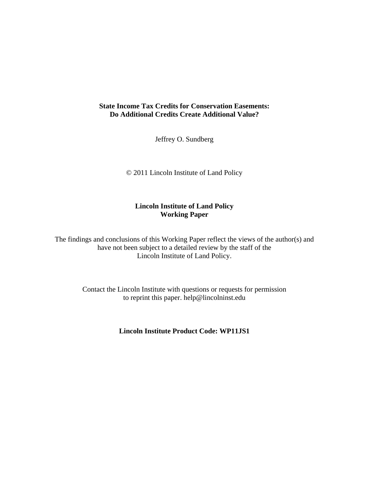## **State Income Tax Credits for Conservation Easements: Do Additional Credits Create Additional Value?**

Jeffrey O. Sundberg

© 2011 Lincoln Institute of Land Policy

## **Lincoln Institute of Land Policy Working Paper**

The findings and conclusions of this Working Paper reflect the views of the author(s) and have not been subject to a detailed review by the staff of the Lincoln Institute of Land Policy.

> Contact the Lincoln Institute with questions or requests for permission to reprint this paper. help@lincolninst.edu

> > **Lincoln Institute Product Code: WP11JS1**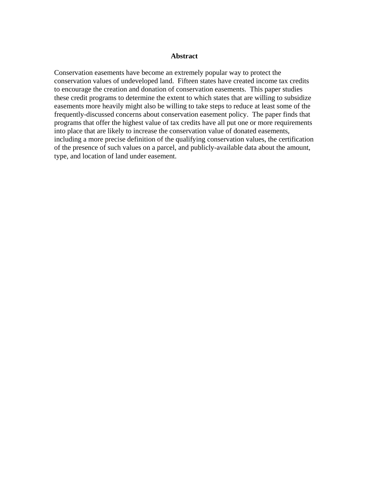#### **Abstract**

Conservation easements have become an extremely popular way to protect the conservation values of undeveloped land. Fifteen states have created income tax credits to encourage the creation and donation of conservation easements. This paper studies these credit programs to determine the extent to which states that are willing to subsidize easements more heavily might also be willing to take steps to reduce at least some of the frequently-discussed concerns about conservation easement policy. The paper finds that programs that offer the highest value of tax credits have all put one or more requirements into place that are likely to increase the conservation value of donated easements, including a more precise definition of the qualifying conservation values, the certification of the presence of such values on a parcel, and publicly-available data about the amount, type, and location of land under easement.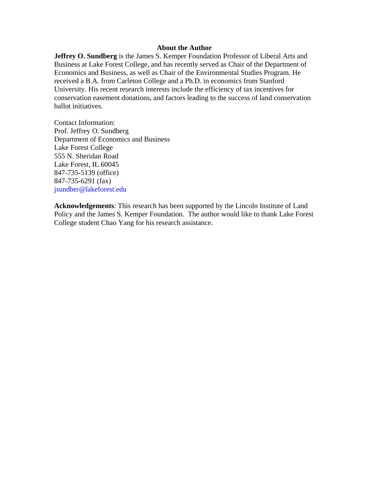### **About the Author**

**Jeffrey O. Sundberg** is the James S. Kemper Foundation Professor of Liberal Arts and Business at Lake Forest College, and has recently served as Chair of the Department of Economics and Business, as well as Chair of the Environmental Studies Program. He received a B.A. from Carleton College and a Ph.D. in economics from Stanford University. His recent research interests include the efficiency of tax incentives for conservation easement donations, and factors leading to the success of land conservation ballot initiatives.

Contact Information: Prof. Jeffrey O. Sundberg Department of Economics and Business Lake Forest College 555 N. Sheridan Road Lake Forest, IL 60045 847-735-5139 (office) 847-735-6291 (fax) jsundber@lakeforest.edu

**Acknowledgements**: This research has been supported by the Lincoln Institute of Land Policy and the James S. Kemper Foundation. The author would like to thank Lake Forest College student Chao Yang for his research assistance.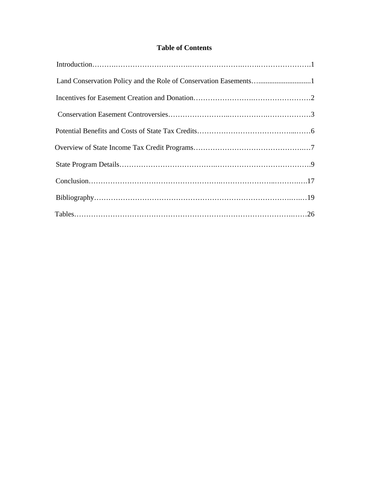# **Table of Contents**

| Land Conservation Policy and the Role of Conservation Easements1 |
|------------------------------------------------------------------|
|                                                                  |
|                                                                  |
|                                                                  |
|                                                                  |
|                                                                  |
|                                                                  |
|                                                                  |
|                                                                  |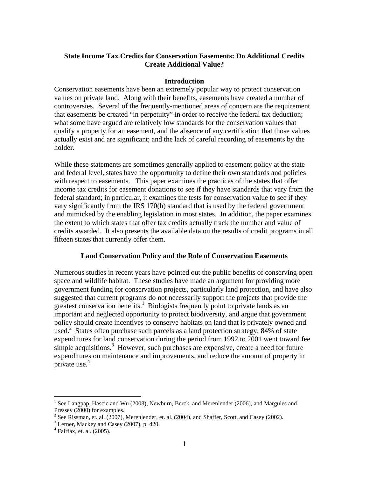## **State Income Tax Credits for Conservation Easements: Do Additional Credits Create Additional Value?**

### **Introduction**

Conservation easements have been an extremely popular way to protect conservation values on private land. Along with their benefits, easements have created a number of controversies. Several of the frequently-mentioned areas of concern are the requirement that easements be created "in perpetuity" in order to receive the federal tax deduction; what some have argued are relatively low standards for the conservation values that qualify a property for an easement, and the absence of any certification that those values actually exist and are significant; and the lack of careful recording of easements by the holder.

While these statements are sometimes generally applied to easement policy at the state and federal level, states have the opportunity to define their own standards and policies with respect to easements. This paper examines the practices of the states that offer income tax credits for easement donations to see if they have standards that vary from the federal standard; in particular, it examines the tests for conservation value to see if they vary significantly from the IRS 170(h) standard that is used by the federal government and mimicked by the enabling legislation in most states. In addition, the paper examines the extent to which states that offer tax credits actually track the number and value of credits awarded. It also presents the available data on the results of credit programs in all fifteen states that currently offer them.

### **Land Conservation Policy and the Role of Conservation Easements**

Numerous studies in recent years have pointed out the public benefits of conserving open space and wildlife habitat. These studies have made an argument for providing more government funding for conservation projects, particularly land protection, and have also suggested that current programs do not necessarily support the projects that provide the greatest conservation benefits. $\frac{1}{1}$  Biologists frequently point to private lands as an important and neglected opportunity to protect biodiversity, and argue that government policy should create incentives to conserve habitats on land that is privately owned and used.<sup>2</sup> States often purchase such parcels as a land protection strategy; 84% of state expenditures for land conservation during the period from 1992 to 2001 went toward fee simple acquisitions. $3$  However, such purchases are expensive, create a need for future expenditures on maintenance and improvements, and reduce the amount of property in private use. $4$ 

1

<sup>&</sup>lt;sup>1</sup> See Langpap, Hascic and Wu (2008), Newburn, Berck, and Merenlender (2006), and Margules and Pressey (2000) for examples.

<sup>&</sup>lt;sup>2</sup> See Rissman, et. al. (2007), Merenlender, et. al. (2004), and Shaffer, Scott, and Casey (2002).

 $3$  Lerner, Mackey and Casey (2007), p. 420.

<sup>4</sup> Fairfax, et. al. (2005).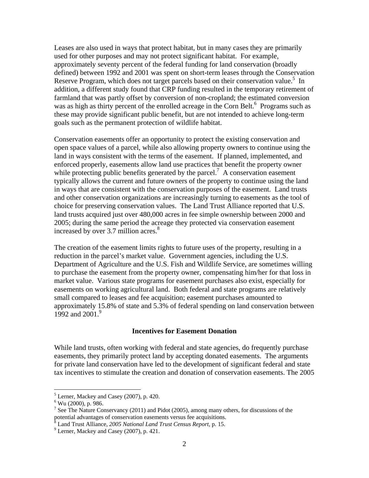Leases are also used in ways that protect habitat, but in many cases they are primarily used for other purposes and may not protect significant habitat. For example, approximately seventy percent of the federal funding for land conservation (broadly defined) between 1992 and 2001 was spent on short-term leases through the Conservation Reserve Program, which does not target parcels based on their conservation value.<sup>5</sup> In addition, a different study found that CRP funding resulted in the temporary retirement of farmland that was partly offset by conversion of non-cropland; the estimated conversion was as high as thirty percent of the enrolled acreage in the Corn Belt.<sup>6</sup> Programs such as these may provide significant public benefit, but are not intended to achieve long-term goals such as the permanent protection of wildlife habitat.

Conservation easements offer an opportunity to protect the existing conservation and open space values of a parcel, while also allowing property owners to continue using the land in ways consistent with the terms of the easement. If planned, implemented, and enforced properly, easements allow land use practices that benefit the property owner while protecting public benefits generated by the parcel.<sup>7</sup> A conservation easement typically allows the current and future owners of the property to continue using the land in ways that are consistent with the conservation purposes of the easement. Land trusts and other conservation organizations are increasingly turning to easements as the tool of choice for preserving conservation values. The Land Trust Alliance reported that U.S. land trusts acquired just over 480,000 acres in fee simple ownership between 2000 and 2005; during the same period the acreage they protected via conservation easement increased by over  $3.7$  million acres.<sup>8</sup>

The creation of the easement limits rights to future uses of the property, resulting in a reduction in the parcel's market value. Government agencies, including the U.S. Department of Agriculture and the U.S. Fish and Wildlife Service, are sometimes willing to purchase the easement from the property owner, compensating him/her for that loss in market value. Various state programs for easement purchases also exist, especially for easements on working agricultural land. Both federal and state programs are relatively small compared to leases and fee acquisition; easement purchases amounted to approximately 15.8% of state and 5.3% of federal spending on land conservation between 1992 and 2001<sup>9</sup>

#### **Incentives for Easement Donation**

While land trusts, often working with federal and state agencies, do frequently purchase easements, they primarily protect land by accepting donated easements. The arguments for private land conservation have led to the development of significant federal and state tax incentives to stimulate the creation and donation of conservation easements. The 2005

<sup>5</sup> Lerner, Mackey and Casey (2007), p. 420.

 $6$  Wu (2000), p. 986.

<sup>&</sup>lt;sup>7</sup> See The Nature Conservancy (2011) and Pidot (2005), among many others, for discussions of the potential advantages of conservation easements versus fee acquisitions.<br><sup>8</sup> Land Trust Alliance, *2005 National Land Trust Census Report*, p. 15.<br><sup>9</sup> Larner, Magkay and Cesay (2007), p. 421.

Lerner, Mackey and Casey (2007), p. 421.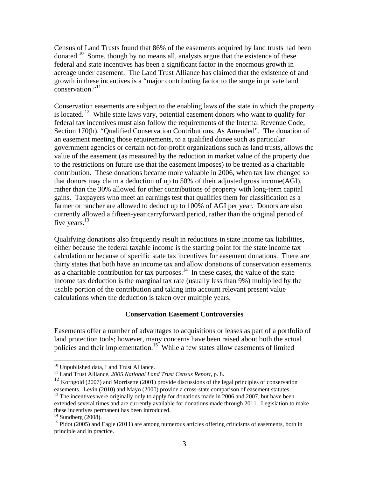Census of Land Trusts found that 86% of the easements acquired by land trusts had been donated.<sup>10</sup> Some, though by no means all, analysts argue that the existence of these federal and state incentives has been a significant factor in the enormous growth in acreage under easement. The Land Trust Alliance has claimed that the existence of and growth in these incentives is a "major contributing factor to the surge in private land conservation."<sup>11</sup>

Conservation easements are subject to the enabling laws of the state in which the property is located. <sup>12</sup> While state laws vary, potential easement donors who want to qualify for federal tax incentives must also follow the requirements of the Internal Revenue Code, Section 170(h), "Qualified Conservation Contributions, As Amended". The donation of an easement meeting those requirements, to a qualified donee such as particular government agencies or certain not-for-profit organizations such as land trusts, allows the value of the easement (as measured by the reduction in market value of the property due to the restrictions on future use that the easement imposes) to be treated as a charitable contribution. These donations became more valuable in 2006, when tax law changed so that donors may claim a deduction of up to 50% of their adjusted gross income(AGI), rather than the 30% allowed for other contributions of property with long-term capital gains. Taxpayers who meet an earnings test that qualifies them for classification as a farmer or rancher are allowed to deduct up to 100% of AGI per year. Donors are also currently allowed a fifteen-year carryforward period, rather than the original period of five years. $^{13}$ 

Qualifying donations also frequently result in reductions in state income tax liabilities, either because the federal taxable income is the starting point for the state income tax calculation or because of specific state tax incentives for easement donations. There are thirty states that both have an income tax and allow donations of conservation easements as a charitable contribution for tax purposes.<sup>14</sup> In these cases, the value of the state income tax deduction is the marginal tax rate (usually less than 9%) multiplied by the usable portion of the contribution and taking into account relevant present value calculations when the deduction is taken over multiple years.

#### **Conservation Easement Controversies**

Easements offer a number of advantages to acquisitions or leases as part of a portfolio of land protection tools; however, many concerns have been raised about both the actual policies and their implementation.<sup>15</sup> While a few states allow easements of limited

<u>.</u>

<sup>&</sup>lt;sup>10</sup> Unpublished data, Land Trust Alliance.

<sup>11</sup> Land Trust Alliance, *2005 National Land Trust Census Report,* p. 8.

<sup>&</sup>lt;sup>12</sup> Korngold (2007) and Morrisette (2001) provide discussions of the legal principles of conservation easements. Levin (2010) and Mayo (2000) provide a cross-state comparison of easement statutes.

 $^{13}$  The incentives were originally only to apply for donations made in 2006 and 2007, but have been extended several times and are currently available for donations made through 2011. Legislation to make these incentives permanent has been introduced.

 $14$  Sundberg (2008).

 $15$  Pidot (2005) and Eagle (2011) are among numerous articles offering criticisms of easements, both in principle and in practice.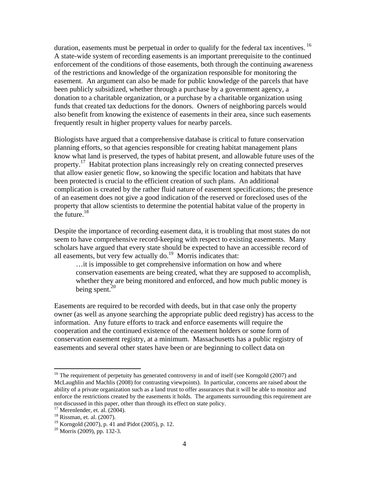duration, easements must be perpetual in order to qualify for the federal tax incentives.<sup>16</sup> A state-wide system of recording easements is an important prerequisite to the continued enforcement of the conditions of those easements, both through the continuing awareness of the restrictions and knowledge of the organization responsible for monitoring the easement. An argument can also be made for public knowledge of the parcels that have been publicly subsidized, whether through a purchase by a government agency, a donation to a charitable organization, or a purchase by a charitable organization using funds that created tax deductions for the donors. Owners of neighboring parcels would also benefit from knowing the existence of easements in their area, since such easements frequently result in higher property values for nearby parcels.

Biologists have argued that a comprehensive database is critical to future conservation planning efforts, so that agencies responsible for creating habitat management plans know what land is preserved, the types of habitat present, and allowable future uses of the property.<sup>17</sup> Habitat protection plans increasingly rely on creating connected preserves that allow easier genetic flow, so knowing the specific location and habitats that have been protected is crucial to the efficient creation of such plans. An additional complication is created by the rather fluid nature of easement specifications; the presence of an easement does not give a good indication of the reserved or foreclosed uses of the property that allow scientists to determine the potential habitat value of the property in the future. $18$ 

Despite the importance of recording easement data, it is troubling that most states do not seem to have comprehensive record-keeping with respect to existing easements. Many scholars have argued that every state should be expected to have an accessible record of all easements, but very few actually do.<sup>19</sup> Morris indicates that:

…it is impossible to get comprehensive information on how and where conservation easements are being created, what they are supposed to accomplish, whether they are being monitored and enforced, and how much public money is being spent. $20$ 

Easements are required to be recorded with deeds, but in that case only the property owner (as well as anyone searching the appropriate public deed registry) has access to the information. Any future efforts to track and enforce easements will require the cooperation and the continued existence of the easement holders or some form of conservation easement registry, at a minimum. Massachusetts has a public registry of easements and several other states have been or are beginning to collect data on

<sup>&</sup>lt;sup>16</sup> The requirement of perpetuity has generated controversy in and of itself (see Korngold (2007) and McLaughlin and Machlis (2008) for contrasting viewpoints). In particular, concerns are raised about the ability of a private organization such as a land trust to offer assurances that it will be able to monitor and enforce the restrictions created by the easements it holds. The arguments surrounding this requirement are not discussed in this paper, other than through its effect on state policy.

 $17$  Merenlender, et. al. (2004).

<sup>&</sup>lt;sup>18</sup> Rissman, et. al. (2007).

<sup>19</sup> Korngold (2007), p. 41 and Pidot (2005), p. 12.

 $20$  Morris (2009), pp. 132-3.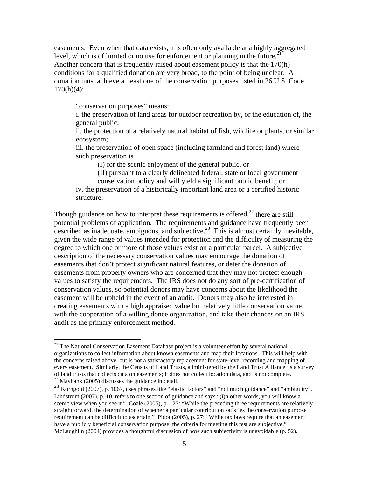easements. Even when that data exists, it is often only available at a highly aggregated level, which is of limited or no use for enforcement or planning in the future.<sup>21</sup> Another concern that is frequently raised about easement policy is that the 170(h) conditions for a qualified donation are very broad, to the point of being unclear. A donation must achieve at least one of the conservation purposes listed in 26 U.S. Code  $170(h)(4)$ :

"conservation purposes" means:

 $\overline{a}$ 

i. the preservation of land areas for outdoor recreation by, or the education of, the general public;

ii. the protection of a relatively natural habitat of fish, wildlife or plants, or similar ecosystem;

iii. the preservation of open space (including farmland and forest land) where such preservation is

(I) for the scenic enjoyment of the general public, or

(II) pursuant to a clearly delineated federal, state or local government conservation policy and will yield a significant public benefit; or

iv. the preservation of a historically important land area or a certified historic structure.

Though guidance on how to interpret these requirements is offered,<sup>22</sup> there are still potential problems of application. The requirements and guidance have frequently been described as inadequate, ambiguous, and subjective.<sup>23</sup> This is almost certainly inevitable, given the wide range of values intended for protection and the difficulty of measuring the degree to which one or more of those values exist on a particular parcel. A subjective description of the necessary conservation values may encourage the donation of easements that don't protect significant natural features, or deter the donation of easements from property owners who are concerned that they may not protect enough values to satisfy the requirements. The IRS does not do any sort of pre-certification of conservation values, so potential donors may have concerns about the likelihood the easement will be upheld in the event of an audit. Donors may also be interested in creating easements with a high appraised value but relatively little conservation value, with the cooperation of a willing donee organization, and take their chances on an IRS audit as the primary enforcement method.

 $21$  The National Conservation Easement Database project is a volunteer effort by several national organizations to collect information about known easements and map their locations. This will help with the concerns raised above, but is not a satisfactory replacement for state-level recording and mapping of every easement. Similarly, the Census of Land Trusts, administered by the Land Trust Alliance, is a survey of land trusts that collects data on easements; it does not collect location data, and is not complete.  $22$  Maybank (2005) discusses the guidance in detail.

<sup>&</sup>lt;sup>23</sup> Korngold (2007), p. 1067, uses phrases like "elastic factors" and "not much guidance" and "ambiguity". Lindstrom (2007), p. 10, refers to one section of guidance and says "(i)n other words, you will know a scenic view when you see it." Coale (2005), p. 127: "While the preceding three requirements are relatively straightforward, the determination of whether a particular contribution satisfies the conservation purpose requirement can be difficult to ascertain." Pidot (2005), p. 27: "While tax laws require that an easement have a publicly beneficial conservation purpose, the criteria for meeting this test are subjective." McLaughlin (2004) provides a thoughtful discussion of how such subjectivity is unavoidable (p. 52).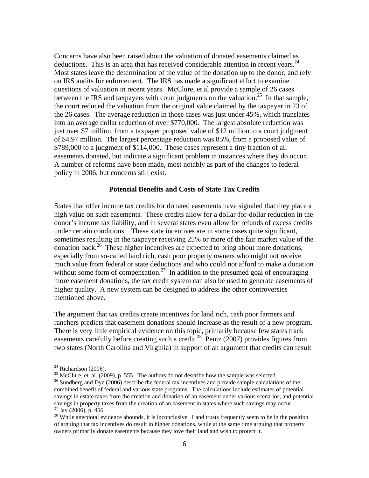Concerns have also been raised about the valuation of donated easements claimed as deductions. This is an area that has received considerable attention in recent years. $^{24}$ Most states leave the determination of the value of the donation up to the donor, and rely on IRS audits for enforcement. The IRS has made a significant effort to examine questions of valuation in recent years. McClure, et al provide a sample of 26 cases between the IRS and taxpayers with court judgments on the valuation.<sup>25</sup> In that sample, the court reduced the valuation from the original value claimed by the taxpayer in 23 of the 26 cases. The average reduction in those cases was just under 45%, which translates into an average dollar reduction of over \$770,000. The largest absolute reduction was just over \$7 million, from a taxpayer proposed value of \$12 million to a court judgment of \$4.97 million. The largest percentage reduction was 85%, from a proposed value of \$789,000 to a judgment of \$114,000. These cases represent a tiny fraction of all easements donated, but indicate a significant problem in instances where they do occur. A number of reforms have been made, most notably as part of the changes to federal policy in 2006, but concerns still exist.

### **Potential Benefits and Costs of State Tax Credits**

States that offer income tax credits for donated easements have signaled that they place a high value on such easements. These credits allow for a dollar-for-dollar reduction in the donor's income tax liability, and in several states even allow for refunds of excess credits under certain conditions. These state incentives are in some cases quite significant, sometimes resulting in the taxpayer receiving 25% or more of the fair market value of the donation back.26 These higher incentives are expected to bring about more donations, especially from so-called land rich, cash poor property owners who might not receive much value from federal or state deductions and who could not afford to make a donation without some form of compensation.<sup>27</sup> In addition to the presumed goal of encouraging more easement donations, the tax credit system can also be used to generate easements of higher quality. A new system can be designed to address the other controversies mentioned above.

The argument that tax credits create incentives for land rich, cash poor farmers and ranchers predicts that easement donations should increase as the result of a new program. There is very little empirical evidence on this topic, primarily because few states track easements carefully before creating such a credit.<sup>28</sup> Pentz (2007) provides figures from two states (North Carolina and Virginia) in support of an argument that credits can result

1

 $24$  Richardson (2006).

<sup>&</sup>lt;sup>25</sup> McClure, et. al. (2009), p. 555. The authors do not describe how the sample was selected.

 $26$  Sundberg and Dye (2006) describe the federal tax incentives and provide sample calculations of the combined benefit of federal and various state programs. The calculations include estimates of potential savings in estate taxes from the creation and donation of an easement under various scenarios, and potential savings in property taxes from the creation of an easement in states where such savings may occur.  $^{27}$  Jay (2006), p. 456.

<sup>&</sup>lt;sup>28</sup> While anecdotal evidence abounds, it is inconclusive. Land trusts frequently seem to be in the position of arguing that tax incentives do result in higher donations, while at the same time arguing that property owners primarily donate easements because they love their land and wish to protect it.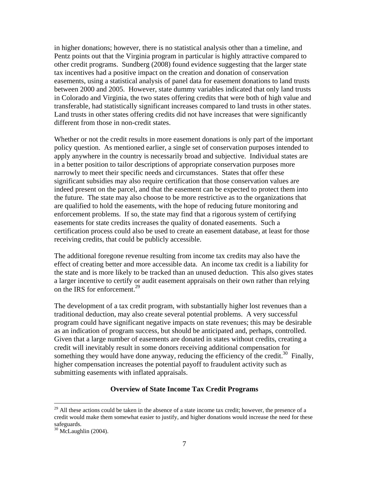in higher donations; however, there is no statistical analysis other than a timeline, and Pentz points out that the Virginia program in particular is highly attractive compared to other credit programs. Sundberg (2008) found evidence suggesting that the larger state tax incentives had a positive impact on the creation and donation of conservation easements, using a statistical analysis of panel data for easement donations to land trusts between 2000 and 2005. However, state dummy variables indicated that only land trusts in Colorado and Virginia, the two states offering credits that were both of high value and transferable, had statistically significant increases compared to land trusts in other states. Land trusts in other states offering credits did not have increases that were significantly different from those in non-credit states.

Whether or not the credit results in more easement donations is only part of the important policy question. As mentioned earlier, a single set of conservation purposes intended to apply anywhere in the country is necessarily broad and subjective. Individual states are in a better position to tailor descriptions of appropriate conservation purposes more narrowly to meet their specific needs and circumstances. States that offer these significant subsidies may also require certification that those conservation values are indeed present on the parcel, and that the easement can be expected to protect them into the future. The state may also choose to be more restrictive as to the organizations that are qualified to hold the easements, with the hope of reducing future monitoring and enforcement problems. If so, the state may find that a rigorous system of certifying easements for state credits increases the quality of donated easements. Such a certification process could also be used to create an easement database, at least for those receiving credits, that could be publicly accessible.

The additional foregone revenue resulting from income tax credits may also have the effect of creating better and more accessible data. An income tax credit is a liability for the state and is more likely to be tracked than an unused deduction. This also gives states a larger incentive to certify or audit easement appraisals on their own rather than relying on the IRS for enforcement.<sup>29</sup>

The development of a tax credit program, with substantially higher lost revenues than a traditional deduction, may also create several potential problems. A very successful program could have significant negative impacts on state revenues; this may be desirable as an indication of program success, but should be anticipated and, perhaps, controlled. Given that a large number of easements are donated in states without credits, creating a credit will inevitably result in some donors receiving additional compensation for something they would have done anyway, reducing the efficiency of the credit.<sup>30</sup> Finally, higher compensation increases the potential payoff to fraudulent activity such as submitting easements with inflated appraisals.

#### **Overview of State Income Tax Credit Programs**

<u>.</u>

 $29$  All these actions could be taken in the absence of a state income tax credit; however, the presence of a credit would make them somewhat easier to justify, and higher donations would increase the need for these safeguards.

 $30$  McLaughlin (2004).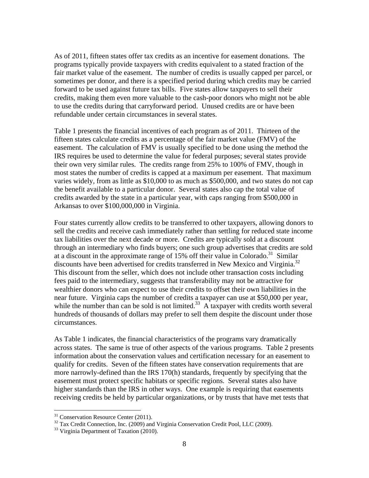As of 2011, fifteen states offer tax credits as an incentive for easement donations. The programs typically provide taxpayers with credits equivalent to a stated fraction of the fair market value of the easement. The number of credits is usually capped per parcel, or sometimes per donor, and there is a specified period during which credits may be carried forward to be used against future tax bills. Five states allow taxpayers to sell their credits, making them even more valuable to the cash-poor donors who might not be able to use the credits during that carryforward period. Unused credits are or have been refundable under certain circumstances in several states.

Table 1 presents the financial incentives of each program as of 2011. Thirteen of the fifteen states calculate credits as a percentage of the fair market value (FMV) of the easement. The calculation of FMV is usually specified to be done using the method the IRS requires be used to determine the value for federal purposes; several states provide their own very similar rules. The credits range from 25% to 100% of FMV, though in most states the number of credits is capped at a maximum per easement. That maximum varies widely, from as little as \$10,000 to as much as \$500,000, and two states do not cap the benefit available to a particular donor. Several states also cap the total value of credits awarded by the state in a particular year, with caps ranging from \$500,000 in Arkansas to over \$100,000,000 in Virginia.

Four states currently allow credits to be transferred to other taxpayers, allowing donors to sell the credits and receive cash immediately rather than settling for reduced state income tax liabilities over the next decade or more. Credits are typically sold at a discount through an intermediary who finds buyers; one such group advertises that credits are sold at a discount in the approximate range of  $15\%$  off their value in Colorado.<sup>31</sup> Similar discounts have been advertised for credits transferred in New Mexico and Virginia.<sup>32</sup> This discount from the seller, which does not include other transaction costs including fees paid to the intermediary, suggests that transferability may not be attractive for wealthier donors who can expect to use their credits to offset their own liabilities in the near future. Virginia caps the number of credits a taxpayer can use at \$50,000 per year, while the number than can be sold is not limited.<sup>33</sup> A taxpayer with credits worth several hundreds of thousands of dollars may prefer to sell them despite the discount under those circumstances.

As Table 1 indicates, the financial characteristics of the programs vary dramatically across states. The same is true of other aspects of the various programs. Table 2 presents information about the conservation values and certification necessary for an easement to qualify for credits. Seven of the fifteen states have conservation requirements that are more narrowly-defined than the IRS 170(h) standards, frequently by specifying that the easement must protect specific habitats or specific regions. Several states also have higher standards than the IRS in other ways. One example is requiring that easements receiving credits be held by particular organizations, or by trusts that have met tests that

<sup>&</sup>lt;sup>31</sup> Conservation Resource Center (2011).

<sup>&</sup>lt;sup>32</sup> Tax Credit Connection, Inc. (2009) and Virginia Conservation Credit Pool, LLC (2009).

<sup>&</sup>lt;sup>33</sup> Virginia Department of Taxation (2010).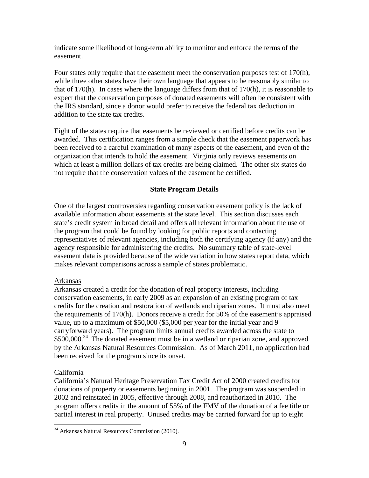indicate some likelihood of long-term ability to monitor and enforce the terms of the easement.

Four states only require that the easement meet the conservation purposes test of 170(h), while three other states have their own language that appears to be reasonably similar to that of 170(h). In cases where the language differs from that of 170(h), it is reasonable to expect that the conservation purposes of donated easements will often be consistent with the IRS standard, since a donor would prefer to receive the federal tax deduction in addition to the state tax credits.

Eight of the states require that easements be reviewed or certified before credits can be awarded. This certification ranges from a simple check that the easement paperwork has been received to a careful examination of many aspects of the easement, and even of the organization that intends to hold the easement. Virginia only reviews easements on which at least a million dollars of tax credits are being claimed. The other six states do not require that the conservation values of the easement be certified.

## **State Program Details**

One of the largest controversies regarding conservation easement policy is the lack of available information about easements at the state level. This section discusses each state's credit system in broad detail and offers all relevant information about the use of the program that could be found by looking for public reports and contacting representatives of relevant agencies, including both the certifying agency (if any) and the agency responsible for administering the credits. No summary table of state-level easement data is provided because of the wide variation in how states report data, which makes relevant comparisons across a sample of states problematic.

## Arkansas

Arkansas created a credit for the donation of real property interests, including conservation easements, in early 2009 as an expansion of an existing program of tax credits for the creation and restoration of wetlands and riparian zones. It must also meet the requirements of 170(h). Donors receive a credit for 50% of the easement's appraised value, up to a maximum of \$50,000 (\$5,000 per year for the initial year and 9 carryforward years). The program limits annual credits awarded across the state to \$500,000.<sup>34</sup> The donated easement must be in a wetland or riparian zone, and approved by the Arkansas Natural Resources Commission. As of March 2011, no application had been received for the program since its onset.

## California

<u>.</u>

California's Natural Heritage Preservation Tax Credit Act of 2000 created credits for donations of property or easements beginning in 2001. The program was suspended in 2002 and reinstated in 2005, effective through 2008, and reauthorized in 2010. The program offers credits in the amount of 55% of the FMV of the donation of a fee title or partial interest in real property. Unused credits may be carried forward for up to eight

<sup>&</sup>lt;sup>34</sup> Arkansas Natural Resources Commission (2010).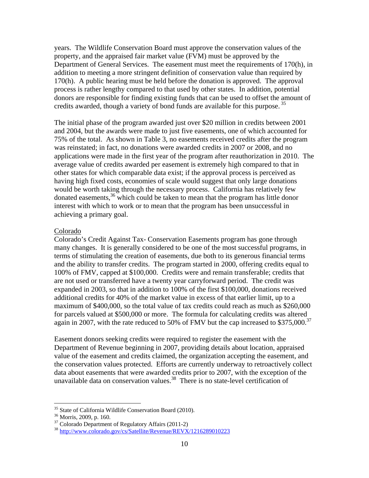years. The Wildlife Conservation Board must approve the conservation values of the property, and the appraised fair market value (FVM) must be approved by the Department of General Services. The easement must meet the requirements of 170(h), in addition to meeting a more stringent definition of conservation value than required by 170(h). A public hearing must be held before the donation is approved. The approval process is rather lengthy compared to that used by other states. In addition, potential donors are responsible for finding existing funds that can be used to offset the amount of credits awarded, though a variety of bond funds are available for this purpose.<sup>35</sup>

The initial phase of the program awarded just over \$20 million in credits between 2001 and 2004, but the awards were made to just five easements, one of which accounted for 75% of the total. As shown in Table 3, no easements received credits after the program was reinstated; in fact, no donations were awarded credits in 2007 or 2008, and no applications were made in the first year of the program after reauthorization in 2010. The average value of credits awarded per easement is extremely high compared to that in other states for which comparable data exist; if the approval process is perceived as having high fixed costs, economies of scale would suggest that only large donations would be worth taking through the necessary process. California has relatively few donated easements,36 which could be taken to mean that the program has little donor interest with which to work or to mean that the program has been unsuccessful in achieving a primary goal.

### Colorado

Colorado's Credit Against Tax- Conservation Easements program has gone through many changes. It is generally considered to be one of the most successful programs, in terms of stimulating the creation of easements, due both to its generous financial terms and the ability to transfer credits. The program started in 2000, offering credits equal to 100% of FMV, capped at \$100,000. Credits were and remain transferable; credits that are not used or transferred have a twenty year carryforward period. The credit was expanded in 2003, so that in addition to 100% of the first \$100,000, donations received additional credits for 40% of the market value in excess of that earlier limit, up to a maximum of \$400,000, so the total value of tax credits could reach as much as \$260,000 for parcels valued at \$500,000 or more. The formula for calculating credits was altered again in 2007, with the rate reduced to 50% of FMV but the cap increased to \$375,000.<sup>37</sup>

Easement donors seeking credits were required to register the easement with the Department of Revenue beginning in 2007, providing details about location, appraised value of the easement and credits claimed, the organization accepting the easement, and the conservation values protected. Efforts are currently underway to retroactively collect data about easements that were awarded credits prior to 2007, with the exception of the unavailable data on conservation values.<sup>38</sup> There is no state-level certification of

 $35$  State of California Wildlife Conservation Board (2010).<br> $36$  Morris, 2009, p. 160.

<sup>&</sup>lt;sup>37</sup> Colorado Department of Regulatory Affairs (2011-2)

<sup>38</sup> http://www.colorado.gov/cs/Satellite/Revenue/REVX/1216289010223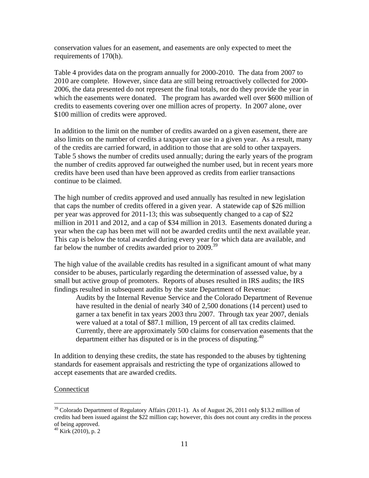conservation values for an easement, and easements are only expected to meet the requirements of 170(h).

Table 4 provides data on the program annually for 2000-2010. The data from 2007 to 2010 are complete. However, since data are still being retroactively collected for 2000- 2006, the data presented do not represent the final totals, nor do they provide the year in which the easements were donated. The program has awarded well over \$600 million of credits to easements covering over one million acres of property. In 2007 alone, over \$100 million of credits were approved.

In addition to the limit on the number of credits awarded on a given easement, there are also limits on the number of credits a taxpayer can use in a given year. As a result, many of the credits are carried forward, in addition to those that are sold to other taxpayers. Table 5 shows the number of credits used annually; during the early years of the program the number of credits approved far outweighed the number used, but in recent years more credits have been used than have been approved as credits from earlier transactions continue to be claimed.

The high number of credits approved and used annually has resulted in new legislation that caps the number of credits offered in a given year. A statewide cap of \$26 million per year was approved for 2011-13; this was subsequently changed to a cap of \$22 million in 2011 and 2012, and a cap of \$34 million in 2013. Easements donated during a year when the cap has been met will not be awarded credits until the next available year. This cap is below the total awarded during every year for which data are available, and far below the number of credits awarded prior to 2009.<sup>39</sup>

The high value of the available credits has resulted in a significant amount of what many consider to be abuses, particularly regarding the determination of assessed value, by a small but active group of promoters. Reports of abuses resulted in IRS audits; the IRS findings resulted in subsequent audits by the state Department of Revenue:

Audits by the Internal Revenue Service and the Colorado Department of Revenue have resulted in the denial of nearly 340 of 2,500 donations (14 percent) used to garner a tax benefit in tax years 2003 thru 2007. Through tax year 2007, denials were valued at a total of \$87.1 million, 19 percent of all tax credits claimed. Currently, there are approximately 500 claims for conservation easements that the department either has disputed or is in the process of disputing. $40$ 

In addition to denying these credits, the state has responded to the abuses by tightening standards for easement appraisals and restricting the type of organizations allowed to accept easements that are awarded credits.

### Connecticut

<u>.</u>

<sup>&</sup>lt;sup>39</sup> Colorado Department of Regulatory Affairs (2011-1). As of August 26, 2011 only \$13.2 million of credits had been issued against the \$22 million cap; however, this does not count any credits in the process of being approved.

<sup>40</sup> Kirk (2010), p. 2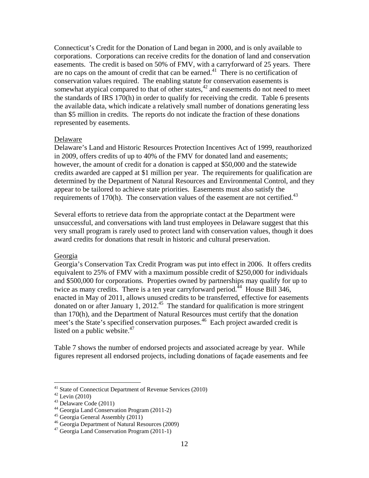Connecticut's Credit for the Donation of Land began in 2000, and is only available to corporations. Corporations can receive credits for the donation of land and conservation easements. The credit is based on 50% of FMV, with a carryforward of 25 years. There are no caps on the amount of credit that can be earned.<sup>41</sup> There is no certification of conservation values required. The enabling statute for conservation easements is somewhat atypical compared to that of other states, $42$  and easements do not need to meet the standards of IRS 170(h) in order to qualify for receiving the credit. Table 6 presents the available data, which indicate a relatively small number of donations generating less than \$5 million in credits. The reports do not indicate the fraction of these donations represented by easements.

### Delaware

Delaware's Land and Historic Resources Protection Incentives Act of 1999, reauthorized in 2009, offers credits of up to 40% of the FMV for donated land and easements; however, the amount of credit for a donation is capped at \$50,000 and the statewide credits awarded are capped at \$1 million per year. The requirements for qualification are determined by the Department of Natural Resources and Environmental Control, and they appear to be tailored to achieve state priorities. Easements must also satisfy the requirements of 170 $(h)$ . The conservation values of the easement are not certified.<sup>43</sup>

Several efforts to retrieve data from the appropriate contact at the Department were unsuccessful, and conversations with land trust employees in Delaware suggest that this very small program is rarely used to protect land with conservation values, though it does award credits for donations that result in historic and cultural preservation.

#### Georgia

Georgia's Conservation Tax Credit Program was put into effect in 2006. It offers credits equivalent to 25% of FMV with a maximum possible credit of \$250,000 for individuals and \$500,000 for corporations. Properties owned by partnerships may qualify for up to twice as many credits. There is a ten year carryforward period.<sup> $44$ </sup> House Bill 346, enacted in May of 2011, allows unused credits to be transferred, effective for easements donated on or after January 1, 2012.<sup>45</sup> The standard for qualification is more stringent than 170(h), and the Department of Natural Resources must certify that the donation meet's the State's specified conservation purposes.<sup>46</sup> Each project awarded credit is listed on a public website. $47$ 

Table 7 shows the number of endorsed projects and associated acreage by year. While figures represent all endorsed projects, including donations of façade easements and fee

<sup>&</sup>lt;sup>41</sup> State of Connecticut Department of Revenue Services (2010)  $4^{42}$  Levin (2010)

 $43$  Delaware Code (2011)

<sup>44</sup> Georgia Land Conservation Program (2011-2)

<sup>45</sup> Georgia General Assembly (2011)

<sup>46</sup> Georgia Department of Natural Resources (2009)

<sup>47</sup> Georgia Land Conservation Program (2011-1)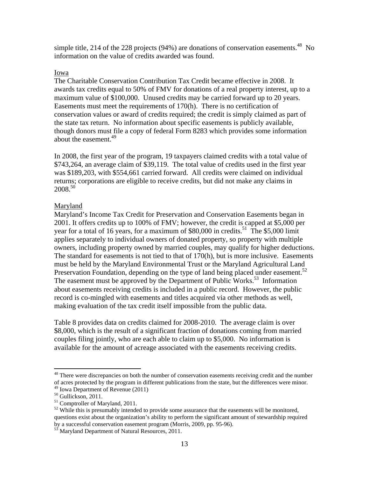simple title, 214 of the 228 projects (94%) are donations of conservation easements.<sup>48</sup> No information on the value of credits awarded was found.

### Iowa

The Charitable Conservation Contribution Tax Credit became effective in 2008. It awards tax credits equal to 50% of FMV for donations of a real property interest, up to a maximum value of \$100,000. Unused credits may be carried forward up to 20 years. Easements must meet the requirements of 170(h). There is no certification of conservation values or award of credits required; the credit is simply claimed as part of the state tax return. No information about specific easements is publicly available, though donors must file a copy of federal Form 8283 which provides some information about the easement.<sup>49</sup>

In 2008, the first year of the program, 19 taxpayers claimed credits with a total value of \$743,264, an average claim of \$39,119. The total value of credits used in the first year was \$189,203, with \$554,661 carried forward. All credits were claimed on individual returns; corporations are eligible to receive credits, but did not make any claims in  $2008^{50}$ 

## Maryland

Maryland's Income Tax Credit for Preservation and Conservation Easements began in 2001. It offers credits up to 100% of FMV; however, the credit is capped at \$5,000 per year for a total of 16 years, for a maximum of  $$80,000$  in credits.<sup>51</sup> The \$5,000 limit applies separately to individual owners of donated property, so property with multiple owners, including property owned by married couples, may qualify for higher deductions. The standard for easements is not tied to that of 170(h), but is more inclusive. Easements must be held by the Maryland Environmental Trust or the Maryland Agricultural Land Preservation Foundation, depending on the type of land being placed under easement.<sup>52</sup> The easement must be approved by the Department of Public Works.<sup>53</sup> Information about easements receiving credits is included in a public record. However, the public record is co-mingled with easements and titles acquired via other methods as well, making evaluation of the tax credit itself impossible from the public data.

Table 8 provides data on credits claimed for 2008-2010. The average claim is over \$8,000, which is the result of a significant fraction of donations coming from married couples filing jointly, who are each able to claim up to \$5,000. No information is available for the amount of acreage associated with the easements receiving credits.

<sup>&</sup>lt;sup>48</sup> There were discrepancies on both the number of conservation easements receiving credit and the number of acres protected by the program in different publications from the state, but the differences were minor.

<sup>49</sup> Iowa Department of Revenue (2011)

<sup>&</sup>lt;sup>50</sup> Gullickson, 2011.

<sup>51</sup> Comptroller of Maryland, 2011.

 $52$  While this is presumably intended to provide some assurance that the easements will be monitored, questions exist about the organization's ability to perform the significant amount of stewardship required by a successful conservation easement program (Morris, 2009, pp. 95-96).<br><sup>53</sup> Maryland Department of Natural Resources, 2011.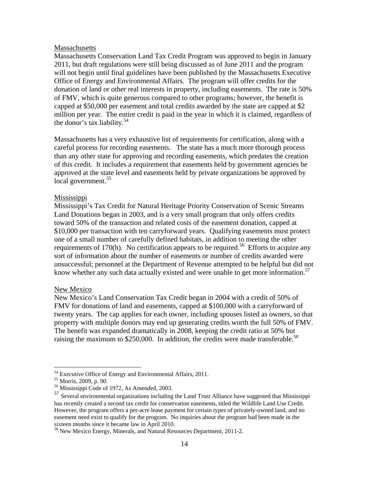#### Massachusetts

Massachusetts Conservation Land Tax Credit Program was approved to begin in January 2011, but draft regulations were still being discussed as of June 2011 and the program will not begin until final guidelines have been published by the Massachusetts Executive Office of Energy and Environmental Affairs. The program will offer credits for the donation of land or other real interests in property, including easements. The rate is 50% of FMV, which is quite generous compared to other programs; however, the benefit is capped at \$50,000 per easement and total credits awarded by the state are capped at \$2 million per year. The entire credit is paid in the year in which it is claimed, regardless of the donor's tax liability.54

Massachusetts has a very exhaustive list of requirements for certification, along with a careful process for recording easements. The state has a much more thorough process than any other state for approving and recording easements, which predates the creation of this credit. It includes a requirement that easements held by government agencies be approved at the state level and easements held by private organizations be approved by local government.<sup>55</sup>

#### Mississippi

Mississippi's Tax Credit for Natural Heritage Priority Conservation of Scenic Streams Land Donations began in 2003, and is a very small program that only offers credits toward 50% of the transaction and related costs of the easement donation, capped at \$10,000 per transaction with ten carryforward years. Qualifying easements must protect one of a small number of carefully defined habitats, in addition to meeting the other requirements of 170(h). No certification appears to be required.<sup>56</sup> Efforts to acquire any sort of information about the number of easements or number of credits awarded were unsuccessful; personnel at the Department of Revenue attempted to be helpful but did not know whether any such data actually existed and were unable to get more information.<sup>57</sup>

#### New Mexico

New Mexico's Land Conservation Tax Credit began in 2004 with a credit of 50% of FMV for donations of land and easements, capped at \$100,000 with a carryforward of twenty years. The cap applies for each owner, including spouses listed as owners, so that property with multiple donors may end up generating credits worth the full 50% of FMV. The benefit was expanded dramatically in 2008, keeping the credit ratio at 50% but raising the maximum to \$250,000. In addition, the credits were made transferable.<sup>58</sup>

1

<sup>&</sup>lt;sup>54</sup> Executive Office of Energy and Environmental Affairs, 2011.

<sup>55</sup> Morris, 2009, p. 90.

<sup>56</sup> Mississippi Code of 1972, As Amended, 2003.

<sup>&</sup>lt;sup>57</sup> Several environmental organizations including the Land Trust Alliance have suggested that Mississippi has recently created a second tax credit for conservation easements, titled the Wildlife Land Use Credit. However, the program offers a per-acre lease payment for certain types of privately-owned land, and no easement need exist to qualify for the program. No inquiries about the program had been made in the sixteen months since it became law in April 2010.

<sup>58</sup> New Mexico Energy, Minerals, and Natural Resources Department, 2011-2.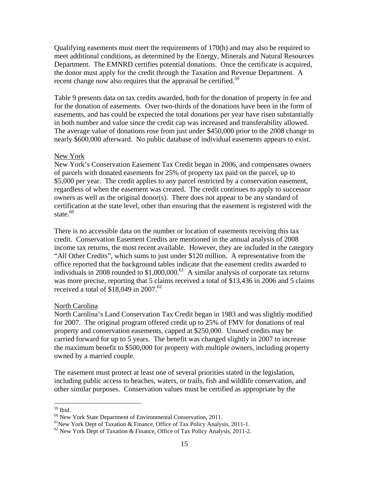Qualifying easements must meet the requirements of 170(h) and may also be required to meet additional conditions, as determined by the Energy, Minerals and Natural Resources Department. The EMNRD certifies potential donations. Once the certificate is acquired, the donor must apply for the credit through the Taxation and Revenue Department. A recent change now also requires that the appraisal be certified.<sup>59</sup>

Table 9 presents data on tax credits awarded, both for the donation of property in fee and for the donation of easements. Over two-thirds of the donations have been in the form of easements, and has could be expected the total donations per year have risen substantially in both number and value since the credit cap was increased and transferability allowed. The average value of donations rose from just under \$450,000 prior to the 2008 change to nearly \$600,000 afterward. No public database of individual easements appears to exist.

#### New York

New York's Conservation Easement Tax Credit began in 2006, and compensates owners of parcels with donated easements for 25% of property tax paid on the parcel, up to \$5,000 per year. The credit applies to any parcel restricted by a conservation easement, regardless of when the easement was created. The credit continues to apply to successor owners as well as the original donor(s). There does not appear to be any standard of certification at the state level, other than ensuring that the easement is registered with the state. $60$ 

There is no accessible data on the number or location of easements receiving this tax credit. Conservation Easement Credits are mentioned in the annual analysis of 2008 income tax returns, the most recent available. However, they are included in the category "All Other Credits", which sums to just under \$120 million. A representative from the office reported that the background tables indicate that the easement credits awarded to individuals in 2008 rounded to \$1,000,000.<sup>61</sup> A similar analysis of corporate tax returns was more precise, reporting that 5 claims received a total of \$13,436 in 2006 and 5 claims received a total of \$18,049 in 2007.<sup>62</sup>

#### North Carolina

North Carolina's Land Conservation Tax Credit began in 1983 and was slightly modified for 2007. The original program offered credit up to 25% of FMV for donations of real property and conservation easements, capped at \$250,000. Unused credits may be carried forward for up to 5 years. The benefit was changed slightly in 2007 to increase the maximum benefit to \$500,000 for property with multiple owners, including property owned by a married couple.

The easement must protect at least one of several priorities stated in the legislation, including public access to beaches, waters, or trails, fish and wildlife conservation, and other similar purposes. Conservation values must be certified as appropriate by the

<sup>59</sup> Ibid.

<sup>&</sup>lt;sup>60</sup> New York State Department of Environmental Conservation, 2011.

<sup>&</sup>lt;sup>61</sup>New York Dept of Taxation & Finance, Office of Tax Policy Analysis, 2011-1.

 $62$  New York Dept of Taxation & Finance, Office of Tax Policy Analysis, 2011-2.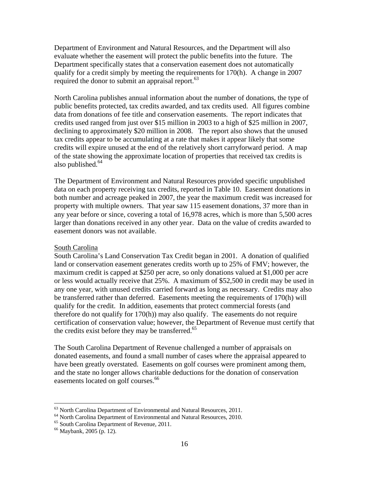Department of Environment and Natural Resources, and the Department will also evaluate whether the easement will protect the public benefits into the future. The Department specifically states that a conservation easement does not automatically qualify for a credit simply by meeting the requirements for 170(h). A change in 2007 required the donor to submit an appraisal report. $^{63}$ 

North Carolina publishes annual information about the number of donations, the type of public benefits protected, tax credits awarded, and tax credits used. All figures combine data from donations of fee title and conservation easements. The report indicates that credits used ranged from just over \$15 million in 2003 to a high of \$25 million in 2007, declining to approximately \$20 million in 2008. The report also shows that the unused tax credits appear to be accumulating at a rate that makes it appear likely that some credits will expire unused at the end of the relatively short carryforward period. A map of the state showing the approximate location of properties that received tax credits is also published. $64$ 

The Department of Environment and Natural Resources provided specific unpublished data on each property receiving tax credits, reported in Table 10. Easement donations in both number and acreage peaked in 2007, the year the maximum credit was increased for property with multiple owners. That year saw 115 easement donations, 37 more than in any year before or since, covering a total of 16,978 acres, which is more than 5,500 acres larger than donations received in any other year. Data on the value of credits awarded to easement donors was not available.

### South Carolina

South Carolina's Land Conservation Tax Credit began in 2001. A donation of qualified land or conservation easement generates credits worth up to 25% of FMV; however, the maximum credit is capped at \$250 per acre, so only donations valued at \$1,000 per acre or less would actually receive that 25%. A maximum of \$52,500 in credit may be used in any one year, with unused credits carried forward as long as necessary. Credits may also be transferred rather than deferred. Easements meeting the requirements of 170(h) will qualify for the credit. In addition, easements that protect commercial forests (and therefore do not qualify for 170(h)) may also qualify. The easements do not require certification of conservation value; however, the Department of Revenue must certify that the credits exist before they may be transferred. $65$ 

The South Carolina Department of Revenue challenged a number of appraisals on donated easements, and found a small number of cases where the appraisal appeared to have been greatly overstated. Easements on golf courses were prominent among them, and the state no longer allows charitable deductions for the donation of conservation easements located on golf courses.<sup>66</sup>

<u>.</u>

 $63$  North Carolina Department of Environmental and Natural Resources, 2011.

<sup>&</sup>lt;sup>64</sup> North Carolina Department of Environmental and Natural Resources, 2010.

<sup>&</sup>lt;sup>65</sup> South Carolina Department of Revenue, 2011.

<sup>66</sup> Maybank, 2005 (p. 12).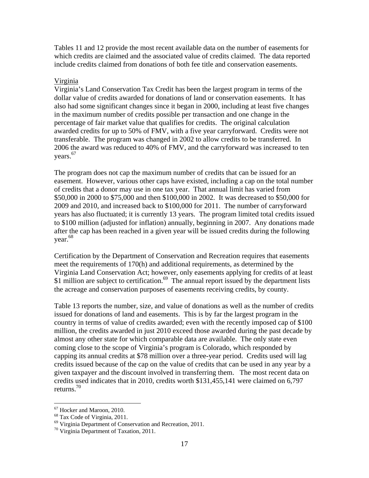Tables 11 and 12 provide the most recent available data on the number of easements for which credits are claimed and the associated value of credits claimed. The data reported include credits claimed from donations of both fee title and conservation easements.

## Virginia

Virginia's Land Conservation Tax Credit has been the largest program in terms of the dollar value of credits awarded for donations of land or conservation easements. It has also had some significant changes since it began in 2000, including at least five changes in the maximum number of credits possible per transaction and one change in the percentage of fair market value that qualifies for credits. The original calculation awarded credits for up to 50% of FMV, with a five year carryforward. Credits were not transferable. The program was changed in 2002 to allow credits to be transferred. In 2006 the award was reduced to 40% of FMV, and the carryforward was increased to ten years.<sup>67</sup>

The program does not cap the maximum number of credits that can be issued for an easement. However, various other caps have existed, including a cap on the total number of credits that a donor may use in one tax year. That annual limit has varied from \$50,000 in 2000 to \$75,000 and then \$100,000 in 2002. It was decreased to \$50,000 for 2009 and 2010, and increased back to \$100,000 for 2011. The number of carryforward years has also fluctuated; it is currently 13 years. The program limited total credits issued to \$100 million (adjusted for inflation) annually, beginning in 2007. Any donations made after the cap has been reached in a given year will be issued credits during the following year.<sup>68</sup>

Certification by the Department of Conservation and Recreation requires that easements meet the requirements of 170(h) and additional requirements, as determined by the Virginia Land Conservation Act; however, only easements applying for credits of at least \$1 million are subject to certification.<sup>69</sup> The annual report issued by the department lists the acreage and conservation purposes of easements receiving credits, by county.

Table 13 reports the number, size, and value of donations as well as the number of credits issued for donations of land and easements. This is by far the largest program in the country in terms of value of credits awarded; even with the recently imposed cap of \$100 million, the credits awarded in just 2010 exceed those awarded during the past decade by almost any other state for which comparable data are available. The only state even coming close to the scope of Virginia's program is Colorado, which responded by capping its annual credits at \$78 million over a three-year period. Credits used will lag credits issued because of the cap on the value of credits that can be used in any year by a given taxpayer and the discount involved in transferring them. The most recent data on credits used indicates that in 2010, credits worth \$131,455,141 were claimed on 6,797 returns.70

<sup>67</sup> Hocker and Maroon, 2010.

<sup>&</sup>lt;sup>68</sup> Tax Code of Virginia, 2011.

<sup>69</sup> Virginia Department of Conservation and Recreation, 2011.

<sup>70</sup> Virginia Department of Taxation, 2011.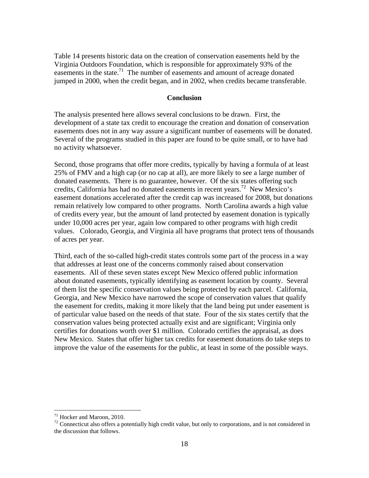Table 14 presents historic data on the creation of conservation easements held by the Virginia Outdoors Foundation, which is responsible for approximately 93% of the easements in the state.<sup>71</sup> The number of easements and amount of acreage donated jumped in 2000, when the credit began, and in 2002, when credits became transferable.

#### **Conclusion**

The analysis presented here allows several conclusions to be drawn. First, the development of a state tax credit to encourage the creation and donation of conservation easements does not in any way assure a significant number of easements will be donated. Several of the programs studied in this paper are found to be quite small, or to have had no activity whatsoever.

Second, those programs that offer more credits, typically by having a formula of at least 25% of FMV and a high cap (or no cap at all), are more likely to see a large number of donated easements. There is no guarantee, however. Of the six states offering such credits, California has had no donated easements in recent years.<sup>72</sup> New Mexico's easement donations accelerated after the credit cap was increased for 2008, but donations remain relatively low compared to other programs. North Carolina awards a high value of credits every year, but the amount of land protected by easement donation is typically under 10,000 acres per year, again low compared to other programs with high credit values. Colorado, Georgia, and Virginia all have programs that protect tens of thousands of acres per year.

Third, each of the so-called high-credit states controls some part of the process in a way that addresses at least one of the concerns commonly raised about conservation easements. All of these seven states except New Mexico offered public information about donated easements, typically identifying as easement location by county. Several of them list the specific conservation values being protected by each parcel. California, Georgia, and New Mexico have narrowed the scope of conservation values that qualify the easement for credits, making it more likely that the land being put under easement is of particular value based on the needs of that state. Four of the six states certify that the conservation values being protected actually exist and are significant; Virginia only certifies for donations worth over \$1 million. Colorado certifies the appraisal, as does New Mexico. States that offer higher tax credits for easement donations do take steps to improve the value of the easements for the public, at least in some of the possible ways.

<sup>71</sup> Hocker and Maroon, 2010.

<sup>&</sup>lt;sup>72</sup> Connecticut also offers a potentially high credit value, but only to corporations, and is not considered in the discussion that follows.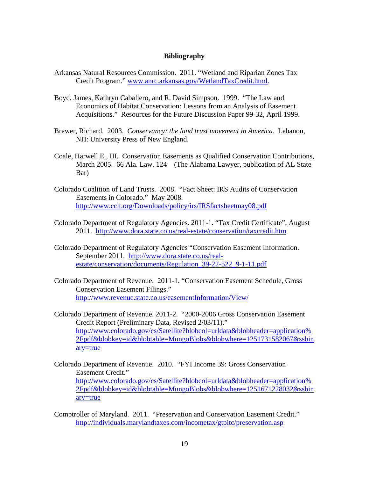#### **Bibliography**

- Arkansas Natural Resources Commission. 2011. "Wetland and Riparian Zones Tax Credit Program." www.anrc.arkansas.gov/WetlandTaxCredit.html.
- Boyd, James, Kathryn Caballero, and R. David Simpson. 1999. "The Law and Economics of Habitat Conservation: Lessons from an Analysis of Easement Acquisitions." Resources for the Future Discussion Paper 99-32, April 1999.
- Brewer, Richard. 2003. *Conservancy: the land trust movement in America*. Lebanon, NH: University Press of New England.
- Coale, Harwell E., III. Conservation Easements as Qualified Conservation Contributions, March 2005. 66 Ala. Law. 124 (The Alabama Lawyer, publication of AL State Bar)
- Colorado Coalition of Land Trusts. 2008. "Fact Sheet: IRS Audits of Conservation Easements in Colorado." May 2008. http://www.cclt.org/Downloads/policy/irs/IRSfactsheetmay08.pdf
- Colorado Department of Regulatory Agencies. 2011-1. "Tax Credit Certificate", August 2011. http://www.dora.state.co.us/real-estate/conservation/taxcredit.htm
- Colorado Department of Regulatory Agencies "Conservation Easement Information. September 2011. http://www.dora.state.co.us/realestate/conservation/documents/Regulation\_39-22-522\_9-1-11.pdf
- Colorado Department of Revenue. 2011-1. "Conservation Easement Schedule, Gross Conservation Easement Filings." http://www.revenue.state.co.us/easementInformation/View/
- Colorado Department of Revenue. 2011-2. "2000-2006 Gross Conservation Easement Credit Report (Preliminary Data, Revised 2/03/11)." http://www.colorado.gov/cs/Satellite?blobcol=urldata&blobheader=application% 2Fpdf&blobkey=id&blobtable=MungoBlobs&blobwhere=1251731582067&ssbin ary=true
- Colorado Department of Revenue. 2010. "FYI Income 39: Gross Conservation Easement Credit." http://www.colorado.gov/cs/Satellite?blobcol=urldata&blobheader=application% 2Fpdf&blobkey=id&blobtable=MungoBlobs&blobwhere=1251671228032&ssbin ary=true
- Comptroller of Maryland. 2011. "Preservation and Conservation Easement Credit." http://individuals.marylandtaxes.com/incometax/gtpitc/preservation.asp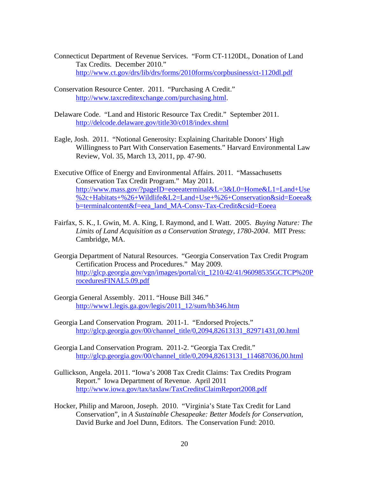- Connecticut Department of Revenue Services. "Form CT-1120DL, Donation of Land Tax Credits. December 2010." http://www.ct.gov/drs/lib/drs/forms/2010forms/corpbusiness/ct-1120dl.pdf
- Conservation Resource Center. 2011. "Purchasing A Credit." http://www.taxcreditexchange.com/purchasing.html.
- Delaware Code. "Land and Historic Resource Tax Credit." September 2011. http://delcode.delaware.gov/title30/c018/index.shtml
- Eagle, Josh. 2011. "Notional Generosity: Explaining Charitable Donors' High Willingness to Part With Conservation Easements." Harvard Environmental Law Review, Vol. 35, March 13, 2011, pp. 47-90.
- Executive Office of Energy and Environmental Affairs. 2011. "Massachusetts Conservation Tax Credit Program." May 2011. http://www.mass.gov/?pageID=eoeeaterminal&L=3&L0=Home&L1=Land+Use %2c+Habitats+%26+Wildlife&L2=Land+Use+%26+Conservation&sid=Eoeea& b=terminalcontent&f=eea\_land\_MA-Consv-Tax-Credit&csid=Eoeea
- Fairfax, S. K., I. Gwin, M. A. King, I. Raymond, and I. Watt. 2005. *Buying Nature: The Limits of Land Acquisition as a Conservation Strategy, 1780-2004*. MIT Press: Cambridge, MA.
- Georgia Department of Natural Resources. "Georgia Conservation Tax Credit Program Certification Process and Procedures." May 2009. http://glcp.georgia.gov/vgn/images/portal/cit\_1210/42/41/96098535GCTCP%20P roceduresFINAL5.09.pdf
- Georgia General Assembly. 2011. "House Bill 346." http://www1.legis.ga.gov/legis/2011\_12/sum/hb346.htm
- Georgia Land Conservation Program. 2011-1. "Endorsed Projects." http://glcp.georgia.gov/00/channel\_title/0,2094,82613131\_82971431,00.html
- Georgia Land Conservation Program. 2011-2. "Georgia Tax Credit." http://glcp.georgia.gov/00/channel\_title/0,2094,82613131\_114687036,00.html
- Gullickson, Angela. 2011. "Iowa's 2008 Tax Credit Claims: Tax Credits Program Report." Iowa Department of Revenue. April 2011 http://www.iowa.gov/tax/taxlaw/TaxCreditsClaimReport2008.pdf
- Hocker, Philip and Maroon, Joseph. 2010. "Virginia's State Tax Credit for Land Conservation", in *A Sustainable Chesapeake: Better Models for Conservation*, David Burke and Joel Dunn, Editors. The Conservation Fund: 2010.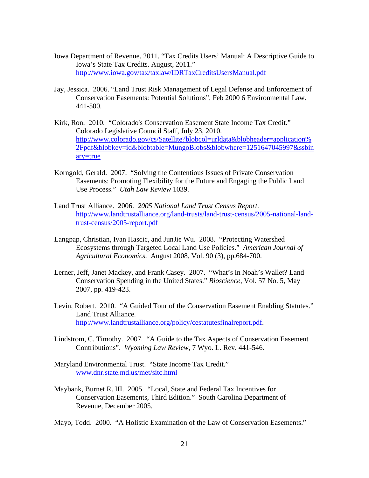- Iowa Department of Revenue. 2011. "Tax Credits Users' Manual: A Descriptive Guide to Iowa's State Tax Credits. August, 2011." http://www.iowa.gov/tax/taxlaw/IDRTaxCreditsUsersManual.pdf
- Jay, Jessica. 2006. "Land Trust Risk Management of Legal Defense and Enforcement of Conservation Easements: Potential Solutions", Feb 2000 6 Environmental Law. 441-500.
- Kirk, Ron. 2010. "Colorado's Conservation Easement State Income Tax Credit." Colorado Legislative Council Staff, July 23, 2010. http://www.colorado.gov/cs/Satellite?blobcol=urldata&blobheader=application% 2Fpdf&blobkey=id&blobtable=MungoBlobs&blobwhere=1251647045997&ssbin ary=true
- Korngold, Gerald. 2007. "Solving the Contentious Issues of Private Conservation Easements: Promoting Flexibility for the Future and Engaging the Public Land Use Process." *Utah Law Review* 1039.
- Land Trust Alliance. 2006. *2005 National Land Trust Census Report*. http://www.landtrustalliance.org/land-trusts/land-trust-census/2005-national-landtrust-census/2005-report.pdf
- Langpap, Christian, Ivan Hascic, and JunJie Wu. 2008. "Protecting Watershed Ecosystems through Targeted Local Land Use Policies." *American Journal of Agricultural Economics*. August 2008, Vol. 90 (3), pp.684-700.
- Lerner, Jeff, Janet Mackey, and Frank Casey. 2007. "What's in Noah's Wallet? Land Conservation Spending in the United States." *Bioscience*, Vol. 57 No. 5, May 2007, pp. 419-423.
- Levin, Robert. 2010. "A Guided Tour of the Conservation Easement Enabling Statutes." Land Trust Alliance. http://www.landtrustalliance.org/policy/cestatutesfinalreport.pdf.
- Lindstrom, C. Timothy. 2007. "A Guide to the Tax Aspects of Conservation Easement Contributions". *Wyoming Law Review*, 7 Wyo. L. Rev. 441-546.
- Maryland Environmental Trust. "State Income Tax Credit." www.dnr.state.md.us/met/sitc.html
- Maybank, Burnet R. III. 2005. "Local, State and Federal Tax Incentives for Conservation Easements, Third Edition." South Carolina Department of Revenue, December 2005.

Mayo, Todd. 2000. "A Holistic Examination of the Law of Conservation Easements."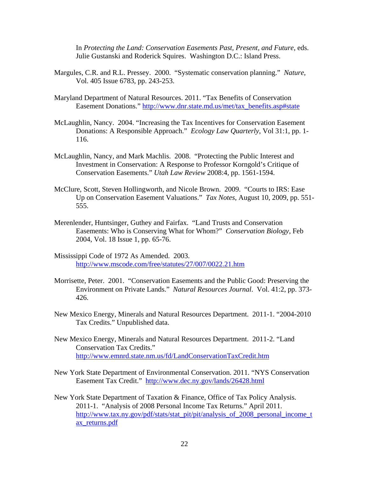In *Protecting the Land: Conservation Easements Past, Present, and Future*, eds. Julie Gustanski and Roderick Squires. Washington D.C.: Island Press.

- Margules, C.R. and R.L. Pressey. 2000. "Systematic conservation planning." *Nature*, Vol. 405 Issue 6783, pp. 243-253.
- Maryland Department of Natural Resources. 2011. "Tax Benefits of Conservation Easement Donations." http://www.dnr.state.md.us/met/tax\_benefits.asp#state
- McLaughlin, Nancy. 2004. "Increasing the Tax Incentives for Conservation Easement Donations: A Responsible Approach." *Ecology Law Quarterly*, Vol 31:1, pp. 1- 116.
- McLaughlin, Nancy, and Mark Machlis. 2008. "Protecting the Public Interest and Investment in Conservation: A Response to Professor Korngold's Critique of Conservation Easements." *Utah Law Review* 2008:4, pp. 1561-1594.
- McClure, Scott, Steven Hollingworth, and Nicole Brown. 2009. "Courts to IRS: Ease Up on Conservation Easement Valuations." *Tax Notes*, August 10, 2009, pp. 551- 555.
- Merenlender, Huntsinger, Guthey and Fairfax. "Land Trusts and Conservation Easements: Who is Conserving What for Whom?" *Conservation Biology*, Feb 2004, Vol. 18 Issue 1, pp. 65-76.
- Mississippi Code of 1972 As Amended. 2003. http://www.mscode.com/free/statutes/27/007/0022.21.htm
- Morrisette, Peter. 2001. "Conservation Easements and the Public Good: Preserving the Environment on Private Lands." *Natural Resources Journal*. Vol. 41:2, pp. 373- 426.
- New Mexico Energy, Minerals and Natural Resources Department. 2011-1. "2004-2010 Tax Credits." Unpublished data.
- New Mexico Energy, Minerals and Natural Resources Department. 2011-2. "Land Conservation Tax Credits." http://www.emnrd.state.nm.us/fd/LandConservationTaxCredit.htm
- New York State Department of Environmental Conservation. 2011. "NYS Conservation Easement Tax Credit." http://www.dec.ny.gov/lands/26428.html
- New York State Department of Taxation & Finance, Office of Tax Policy Analysis. 2011-1. "Analysis of 2008 Personal Income Tax Returns." April 2011. http://www.tax.ny.gov/pdf/stats/stat\_pit/pit/analysis\_of\_2008\_personal\_income\_t ax\_returns.pdf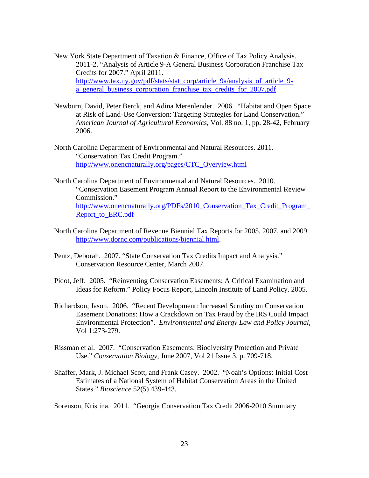- New York State Department of Taxation & Finance, Office of Tax Policy Analysis. 2011-2. "Analysis of Article 9-A General Business Corporation Franchise Tax Credits for 2007." April 2011. http://www.tax.ny.gov/pdf/stats/stat\_corp/article\_9a/analysis\_of\_article\_9a\_general\_business\_corporation\_franchise\_tax\_credits\_for\_2007.pdf
- Newburn, David, Peter Berck, and Adina Merenlender. 2006. "Habitat and Open Space at Risk of Land-Use Conversion: Targeting Strategies for Land Conservation." *American Journal of Agricultural Economics*, Vol. 88 no. 1, pp. 28-42, February 2006.
- North Carolina Department of Environmental and Natural Resources. 2011. "Conservation Tax Credit Program." http://www.onencnaturally.org/pages/CTC\_Overview.html
- North Carolina Department of Environmental and Natural Resources. 2010. "Conservation Easement Program Annual Report to the Environmental Review Commission." http://www.onencnaturally.org/PDFs/2010\_Conservation\_Tax\_Credit\_Program\_ Report\_to\_ERC.pdf
- North Carolina Department of Revenue Biennial Tax Reports for 2005, 2007, and 2009. http://www.dornc.com/publications/biennial.html.
- Pentz, Deborah. 2007. "State Conservation Tax Credits Impact and Analysis." Conservation Resource Center, March 2007.
- Pidot, Jeff. 2005. "Reinventing Conservation Easements: A Critical Examination and Ideas for Reform." Policy Focus Report, Lincoln Institute of Land Policy. 2005.
- Richardson, Jason. 2006. "Recent Development: Increased Scrutiny on Conservation Easement Donations: How a Crackdown on Tax Fraud by the IRS Could Impact Environmental Protection". *Environmental and Energy Law and Policy Journal,* Vol 1:273-279.
- Rissman et al. 2007. "Conservation Easements: Biodiversity Protection and Private Use." *Conservation Biology*, June 2007, Vol 21 Issue 3, p. 709-718.
- Shaffer, Mark, J. Michael Scott, and Frank Casey. 2002. "Noah's Options: Initial Cost Estimates of a National System of Habitat Conservation Areas in the United States." *Bioscience* 52(5) 439-443.

Sorenson, Kristina. 2011. "Georgia Conservation Tax Credit 2006-2010 Summary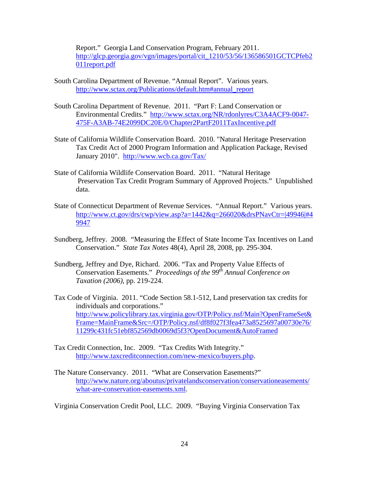Report." Georgia Land Conservation Program, February 2011. http://glcp.georgia.gov/vgn/images/portal/cit\_1210/53/56/136586501GCTCPfeb2 011report.pdf

- South Carolina Department of Revenue. "Annual Report". Various years. http://www.sctax.org/Publications/default.htm#annual\_report
- South Carolina Department of Revenue. 2011. "Part F: Land Conservation or Environmental Credits." http://www.sctax.org/NR/rdonlyres/C3A4ACF9-0047- 475F-A3AB-74E2099DC20E/0/Chapter2PartF2011TaxIncentive.pdf
- State of California Wildlife Conservation Board. 2010. "Natural Heritage Preservation Tax Credit Act of 2000 Program Information and Application Package, Revised January 2010". http://www.wcb.ca.gov/Tax/
- State of California Wildlife Conservation Board. 2011. "Natural Heritage Preservation Tax Credit Program Summary of Approved Projects." Unpublished data.
- State of Connecticut Department of Revenue Services. "Annual Report." Various years. http://www.ct.gov/drs/cwp/view.asp?a=1442&q=266020&drsPNavCtr=|49946|#4 9947
- Sundberg, Jeffrey. 2008. "Measuring the Effect of State Income Tax Incentives on Land Conservation." *State Tax Notes* 48(4), April 28, 2008, pp. 295-304.
- Sundberg, Jeffrey and Dye, Richard. 2006. "Tax and Property Value Effects of Conservation Easements." *Proceedings of the 99th Annual Conference on Taxation (2006)*, pp. 219-224.
- Tax Code of Virginia. 2011. "Code Section 58.1-512, Land preservation tax credits for individuals and corporations." http://www.policylibrary.tax.virginia.gov/OTP/Policy.nsf/Main?OpenFrameSet& Frame=MainFrame&Src=/OTP/Policy.nsf/df8f027f3fea473a8525697a00730e76/ 11299c431fc51ebf852569db0069d5f3?OpenDocument&AutoFramed
- Tax Credit Connection, Inc. 2009. "Tax Credits With Integrity." http://www.taxcreditconnection.com/new-mexico/buyers.php.
- The Nature Conservancy. 2011. "What are Conservation Easements?" http://www.nature.org/aboutus/privatelandsconservation/conservationeasements/ what-are-conservation-easements.xml.

Virginia Conservation Credit Pool, LLC. 2009. "Buying Virginia Conservation Tax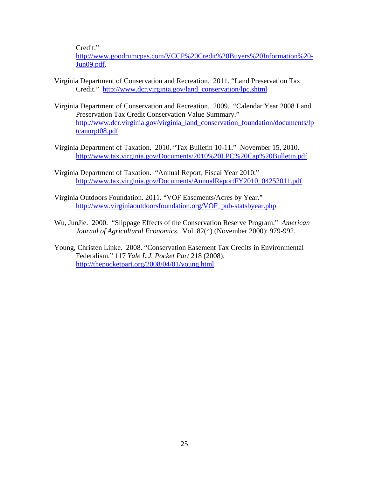Credit."

http://www.goodrumcpas.com/VCCP%20Credit%20Buyers%20Information%20- Jun09.pdf.

- Virginia Department of Conservation and Recreation. 2011. "Land Preservation Tax Credit." http://www.dcr.virginia.gov/land\_conservation/lpc.shtml
- Virginia Department of Conservation and Recreation. 2009. "Calendar Year 2008 Land Preservation Tax Credit Conservation Value Summary." http://www.dcr.virginia.gov/virginia\_land\_conservation\_foundation/documents/lp tcannrpt08.pdf
- Virginia Department of Taxation. 2010. "Tax Bulletin 10-11." November 15, 2010. http://www.tax.virginia.gov/Documents/2010%20LPC%20Cap%20Bulletin.pdf
- Virginia Department of Taxation. "Annual Report, Fiscal Year 2010." http://www.tax.virginia.gov/Documents/AnnualReportFY2010\_04252011.pdf
- Virginia Outdoors Foundation. 2011. "VOF Easements/Acres by Year." http://www.virginiaoutdoorsfoundation.org/VOF\_pub-statsbyear.php
- Wu, JunJie. 2000. "Slippage Effects of the Conservation Reserve Program." *American Journal of Agricultural Economics*. Vol. 82(4) (November 2000): 979-992.
- Young, Christen Linke. 2008. "Conservation Easement Tax Credits in Environmental Federalism." 117 *Yale L.J. Pocket Part* 218 (2008), http://thepocketpart.org/2008/04/01/young.html.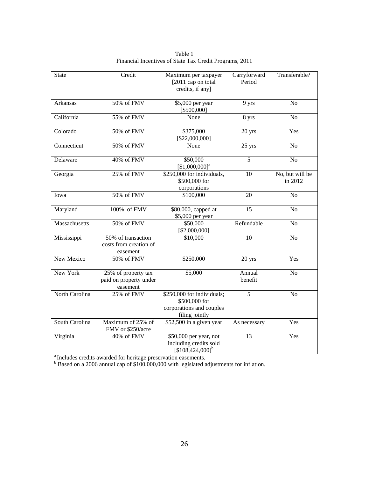| State          | Credit                                                      | Maximum per taxpayer<br>[2011 cap on total]<br>credits, if any]                           | Carryforward<br>Period | Transferable?              |
|----------------|-------------------------------------------------------------|-------------------------------------------------------------------------------------------|------------------------|----------------------------|
| Arkansas       | 50% of FMV                                                  | \$5,000 per year<br>[\$500,000]                                                           | 9 yrs                  | N <sub>o</sub>             |
| California     | 55% of FMV                                                  | None                                                                                      | 8 yrs                  | N <sub>o</sub>             |
| Colorado       | 50% of FMV                                                  | \$375,000<br>[\$22,000,000]                                                               | 20 yrs                 | Yes                        |
| Connecticut    | 50% of FMV                                                  | None                                                                                      | 25 yrs                 | N <sub>o</sub>             |
| Delaware       | 40% of FMV                                                  | \$50,000<br>$[$1,000,000]$ <sup>a</sup>                                                   | $\overline{5}$         | N <sub>o</sub>             |
| Georgia        | 25% of FMV                                                  | \$250,000 for individuals,<br>\$500,000 for<br>corporations                               | 10                     | No, but will be<br>in 2012 |
| Iowa           | 50% of FMV                                                  | \$100,000<br>20                                                                           |                        | N <sub>o</sub>             |
| Maryland       | 100% of FMV                                                 | $\overline{15}$<br>$$80,000$ , capped at<br>\$5,000 per year                              |                        | N <sub>o</sub>             |
| Massachusetts  | 50% of FMV                                                  | \$50,000<br>[\$2,000,000]                                                                 | Refundable             | N <sub>o</sub>             |
| Mississippi    | 50% of transaction<br>costs from creation of<br>easement    | \$10,000                                                                                  | 10                     | N <sub>o</sub>             |
| New Mexico     | 50% of FMV                                                  | \$250,000                                                                                 | 20 yrs                 | Yes                        |
| New York       | $25%$ of property tax<br>paid on property under<br>easement | \$5,000                                                                                   | Annual<br>benefit      | N <sub>o</sub>             |
| North Carolina | 25% of FMV                                                  | \$250,000 for individuals;<br>\$500,000 for<br>corporations and couples<br>filing jointly | $\overline{5}$         | N <sub>o</sub>             |
| South Carolina | Maximum of 25% of<br>FMV or \$250/acre                      | \$52,500 in a given year<br>As necessary                                                  |                        | Yes                        |
| Virginia       | 40% of FMV                                                  | \$50,000 per year, not<br>including credits sold<br>$[$108,424,000]^{b}$                  | 13                     | Yes                        |

Table 1 Financial Incentives of State Tax Credit Programs, 2011

<sup>a</sup> Includes credits awarded for heritage preservation easements.<br><sup>b</sup> Based on a 2006 annual cap of \$100,000,000 with legislated adjustments for inflation.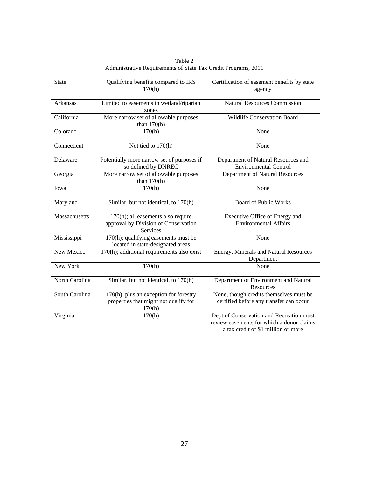| Table 2                                                        |  |
|----------------------------------------------------------------|--|
| Administrative Requirements of State Tax Credit Programs, 2011 |  |

| <b>State</b>   | Qualifying benefits compared to IRS<br>170(h)                                                 | Certification of easement benefits by state<br>agency                                                                        |
|----------------|-----------------------------------------------------------------------------------------------|------------------------------------------------------------------------------------------------------------------------------|
| Arkansas       | Limited to easements in wetland/riparian<br>zones                                             | <b>Natural Resources Commission</b>                                                                                          |
| California     | More narrow set of allowable purposes<br>than $170(h)$                                        | <b>Wildlife Conservation Board</b>                                                                                           |
| Colorado       | 170(h)                                                                                        | None                                                                                                                         |
| Connecticut    | Not tied to 170(h)                                                                            | None                                                                                                                         |
| Delaware       | Potentially more narrow set of purposes if<br>so defined by DNREC                             | Department of Natural Resources and<br><b>Environmental Control</b>                                                          |
| Georgia        | More narrow set of allowable purposes<br>than $170(h)$                                        | Department of Natural Resources                                                                                              |
| Iowa           | 170(h)                                                                                        | None                                                                                                                         |
| Maryland       | Similar, but not identical, to 170(h)                                                         | <b>Board of Public Works</b>                                                                                                 |
| Massachusetts  | 170(h); all easements also require<br>approval by Division of Conservation<br><b>Services</b> | Executive Office of Energy and<br><b>Environmental Affairs</b>                                                               |
| Mississippi    | $170(h)$ ; qualifying easements must be<br>located in state-designated areas                  | None                                                                                                                         |
| New Mexico     | 170(h); additional requirements also exist                                                    | Energy, Minerals and Natural Resources<br>Department                                                                         |
| New York       | 170(h)                                                                                        | None                                                                                                                         |
| North Carolina | Similar, but not identical, to 170(h)                                                         | Department of Environment and Natural<br>Resources                                                                           |
| South Carolina | 170(h), plus an exception for forestry<br>properties that might not qualify for<br>170(h)     | None, though credits themselves must be<br>certified before any transfer can occur                                           |
| Virginia       | 170(h)                                                                                        | Dept of Conservation and Recreation must<br>review easements for which a donor claims<br>a tax credit of \$1 million or more |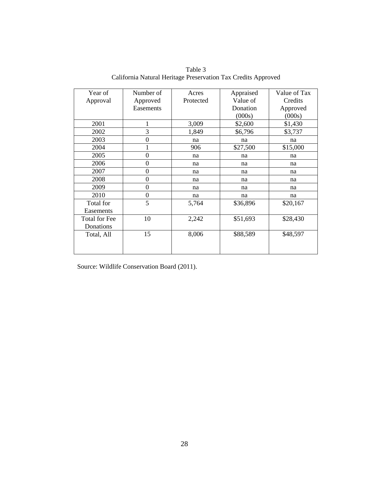| Table 3                                                       |
|---------------------------------------------------------------|
| California Natural Heritage Preservation Tax Credits Approved |

| Year of       | Number of        | Acres     | Appraised | Value of Tax |
|---------------|------------------|-----------|-----------|--------------|
| Approval      | Approved         | Protected | Value of  | Credits      |
|               | Easements        |           | Donation  | Approved     |
|               |                  |           | (000s)    | (000s)       |
| 2001          | 1                | 3,009     | \$2,600   | \$1,430      |
| 2002          | 3                | 1,849     | \$6,796   | \$3,737      |
| 2003          | $\boldsymbol{0}$ | na        | na        | na           |
| 2004          | 1                | 906       | \$27,500  | \$15,000     |
| 2005          | $\overline{0}$   | na        | na        | na           |
| 2006          | $\mathbf{0}$     | na        | na        | na           |
| 2007          | $\overline{0}$   | na        | na        | na           |
| 2008          | $\overline{0}$   | na        | na        | na           |
| 2009          | $\boldsymbol{0}$ | na        | na        | na           |
| 2010          | $\overline{0}$   | na        | na        | na           |
| Total for     | 5                | 5,764     | \$36,896  | \$20,167     |
| Easements     |                  |           |           |              |
| Total for Fee | 10               | 2,242     | \$51,693  | \$28,430     |
| Donations     |                  |           |           |              |
| Total, All    | 15               | 8,006     | \$88,589  | \$48,597     |
|               |                  |           |           |              |
|               |                  |           |           |              |

Source: Wildlife Conservation Board (2011).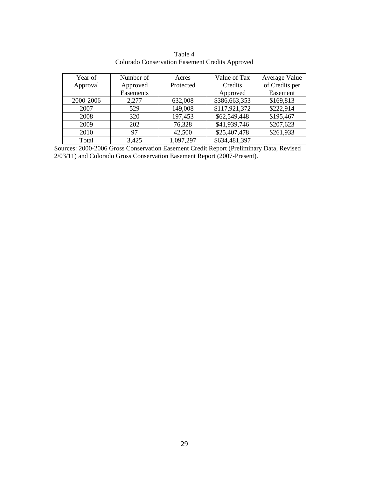| Year of   | Number of | Acres     | Value of Tax  | Average Value  |
|-----------|-----------|-----------|---------------|----------------|
| Approval  | Approved  | Protected | Credits       | of Credits per |
|           | Easements |           | Approved      | Easement       |
| 2000-2006 | 2,277     | 632,008   | \$386,663,353 | \$169,813      |
| 2007      | 529       | 149,008   | \$117,921,372 | \$222,914      |
| 2008      | 320       | 197,453   | \$62,549,448  | \$195,467      |
| 2009      | 202       | 76,328    | \$41,939,746  | \$207,623      |
| 2010      | 97        | 42,500    | \$25,407,478  | \$261,933      |
| Total     | 3,425     | 1,097,297 | \$634,481,397 |                |

Table 4 Colorado Conservation Easement Credits Approved

Sources: 2000-2006 Gross Conservation Easement Credit Report (Preliminary Data, Revised 2/03/11) and Colorado Gross Conservation Easement Report (2007-Present).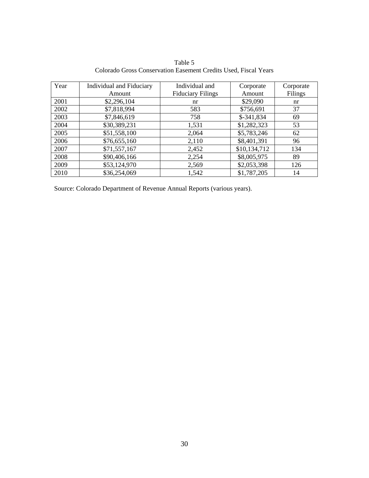Table 5 Colorado Gross Conservation Easement Credits Used, Fiscal Years

| Year | <b>Individual and Fiduciary</b> | Individual and<br>Corporate |              | Corporate |
|------|---------------------------------|-----------------------------|--------------|-----------|
|      | Amount                          | <b>Fiduciary Filings</b>    | Amount       | Filings   |
| 2001 | \$2,296,104                     | nr                          | \$29,090     | nr        |
| 2002 | \$7,818,994                     | 583                         | \$756,691    | 37        |
| 2003 | \$7,846,619                     | 758                         | \$-341,834   | 69        |
| 2004 | \$30,389,231                    | 1,531                       | \$1,282,323  | 53        |
| 2005 | \$51,558,100                    | 2,064                       | \$5,783,246  | 62        |
| 2006 | \$76,655,160                    | 2,110                       | \$8,401,391  | 96        |
| 2007 | \$71,557,167                    | 2,452                       | \$10,134,712 | 134       |
| 2008 | \$90,406,166                    | 2,254                       | \$8,005,975  | 89        |
| 2009 | \$53,124,970                    | 2,569                       | \$2,053,398  | 126       |
| 2010 | \$36,254,069                    | 1,542                       | \$1,787,205  | 14        |

Source: Colorado Department of Revenue Annual Reports (various years).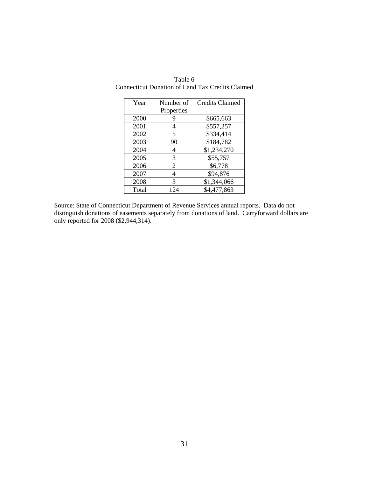| Year  | Number of  | <b>Credits Claimed</b> |
|-------|------------|------------------------|
|       | Properties |                        |
| 2000  |            | \$665,663              |
| 2001  |            | \$557,257              |
| 2002  | 5          | \$334,414              |
| 2003  | 90         | \$184,782              |
| 2004  | 4          | \$1,234,270            |
| 2005  | 3          | \$55,757               |
| 2006  | 2          | \$6,778                |
| 2007  | 4          | \$94,876               |
| 2008  | 3          | \$1,344,066            |
| Total | 124        | \$4,477,863            |

Table 6 Connecticut Donation of Land Tax Credits Claimed

Source: State of Connecticut Department of Revenue Services annual reports. Data do not distinguish donations of easements separately from donations of land. Carryforward dollars are only reported for 2008 (\$2,944,314).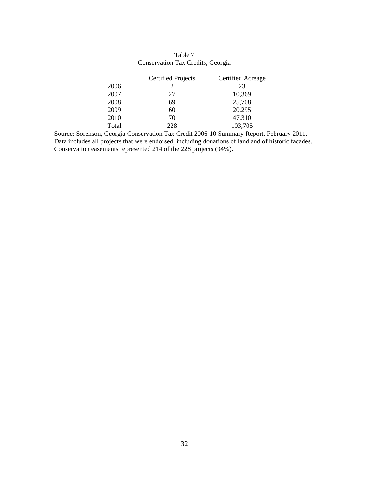|       | <b>Certified Projects</b> | Certified Acreage |
|-------|---------------------------|-------------------|
| 2006  |                           | 23                |
| 2007  | 27                        | 10,369            |
| 2008  | 69                        | 25,708            |
| 2009  | 60                        | 20,295            |
| 2010  | 70                        | 47,310            |
| Total | 228                       | 103,705           |

Table 7 Conservation Tax Credits, Georgia

Source: Sorenson, Georgia Conservation Tax Credit 2006-10 Summary Report, February 2011. Data includes all projects that were endorsed, including donations of land and of historic facades. Conservation easements represented 214 of the 228 projects (94%).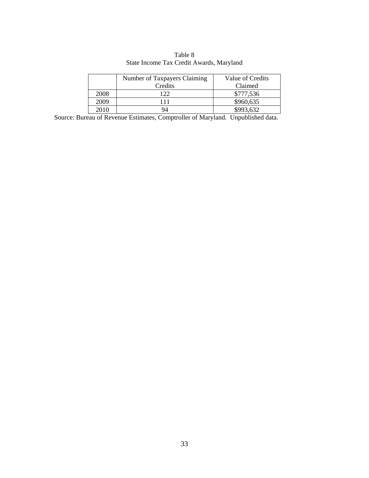|      | Number of Taxpayers Claiming | Value of Credits |
|------|------------------------------|------------------|
|      | Credits                      | Claimed          |
| 2008 | 122                          | \$777,536        |
| 2009 |                              | \$960,635        |
| 2010 |                              | \$993.632        |

Table 8 State Income Tax Credit Awards, Maryland

Source: Bureau of Revenue Estimates, Comptroller of Maryland. Unpublished data.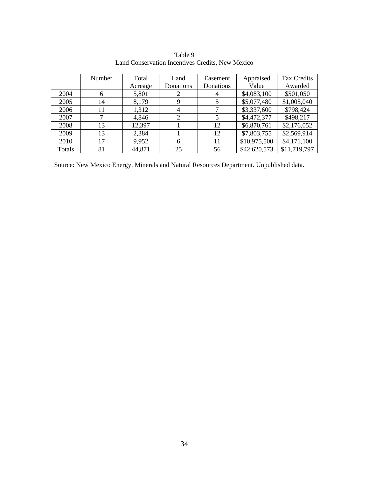|        | Number | Total   | Land           | Easement  | Appraised    | <b>Tax Credits</b> |
|--------|--------|---------|----------------|-----------|--------------|--------------------|
|        |        | Acreage | Donations      | Donations | Value        | Awarded            |
| 2004   | 6      | 5,801   |                | 4         | \$4,083,100  | \$501,050          |
| 2005   | 14     | 8,179   | 9              | 5         | \$5,077,480  | \$1,005,040        |
| 2006   | 11     | 1,312   | $\overline{4}$ |           | \$3,337,600  | \$798,424          |
| 2007   | 7      | 4,846   | $\overline{2}$ | 5         | \$4,472,377  | \$498,217          |
| 2008   | 13     | 12,397  |                | 12        | \$6,870,761  | \$2,176,052        |
| 2009   | 13     | 2,384   |                | 12        | \$7,803,755  | \$2,569,914        |
| 2010   | 17     | 9,952   | 6              | 11        | \$10,975,500 | \$4,171,100        |
| Totals | 81     | 44,871  | 25             | 56        | \$42,620,573 | \$11,719,797       |

Table 9 Land Conservation Incentives Credits, New Mexico

Source: New Mexico Energy, Minerals and Natural Resources Department. Unpublished data.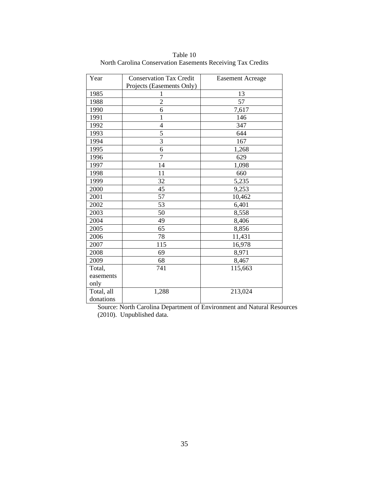| Year       | <b>Conservation Tax Credit</b> | <b>Easement Acreage</b> |  |
|------------|--------------------------------|-------------------------|--|
|            | Projects (Easements Only)      |                         |  |
| 1985       | 1                              | 13                      |  |
| 1988       | $\overline{2}$                 | 57                      |  |
| 1990       | 6                              | 7,617                   |  |
| 1991       | $\mathbf{1}$                   | 146                     |  |
| 1992       | $\overline{4}$                 | 347                     |  |
| 1993       | 5                              | 644                     |  |
| 1994       | $\overline{3}$                 | 167                     |  |
| 1995       | 6                              | 1,268                   |  |
| 1996       | 7                              | 629                     |  |
| 1997       | 14                             | 1,098                   |  |
| 1998       | 11                             | 660                     |  |
| 1999       | 32                             | 5,235                   |  |
| 2000       | 45                             | 9,253                   |  |
| 2001       | 57                             | 10,462                  |  |
| 2002       | 53                             | 6,401                   |  |
| 2003       | 50                             | 8,558                   |  |
| 2004       | 49                             | 8,406                   |  |
| 2005       | 65                             | 8,856                   |  |
| 2006       | 78                             | 11,431                  |  |
| 2007       | 115                            | 16,978                  |  |
| 2008       | 69                             | 8,971                   |  |
| 2009       | 68                             | 8,467                   |  |
| Total,     | 741                            | 115,663                 |  |
| easements  |                                |                         |  |
| only       |                                |                         |  |
| Total, all | 1,288                          | 213,024                 |  |
| donations  |                                |                         |  |

Table 10 North Carolina Conservation Easements Receiving Tax Credits

Source: North Carolina Department of Environment and Natural Resources (2010). Unpublished data.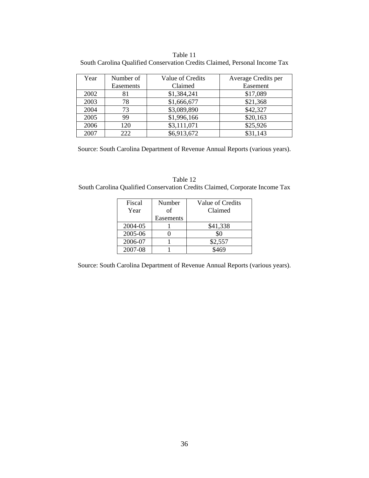Table 11 South Carolina Qualified Conservation Credits Claimed, Personal Income Tax

| Year | Number of | Value of Credits | Average Credits per |
|------|-----------|------------------|---------------------|
|      | Easements | Claimed          | Easement            |
| 2002 | 81        | \$1,384,241      | \$17,089            |
| 2003 | 78        | \$1,666,677      | \$21,368            |
| 2004 | 73        | \$3,089,890      | \$42,327            |
| 2005 | 99        | \$1,996,166      | \$20,163            |
| 2006 | 120       | \$3,111,071      | \$25,926            |
| 2007 | 222       | \$6,913,672      | \$31,143            |

Source: South Carolina Department of Revenue Annual Reports (various years).

Table 12 South Carolina Qualified Conservation Credits Claimed, Corporate Income Tax

| Fiscal<br>Year | Number<br>of<br>Easements | Value of Credits<br>Claimed |
|----------------|---------------------------|-----------------------------|
| 2004-05        |                           | \$41,338                    |
| 2005-06        |                           | ፍር                          |
| 2006-07        |                           | \$2,557                     |
| 2007-08        |                           |                             |

Source: South Carolina Department of Revenue Annual Reports (various years).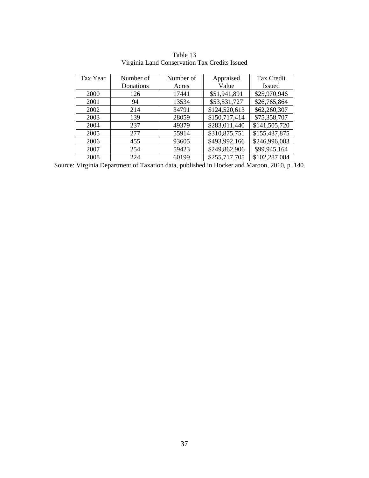| Tax Year | Number of | Number of | Appraised     | Tax Credit    |
|----------|-----------|-----------|---------------|---------------|
|          | Donations | Acres     | Value         | <b>Issued</b> |
| 2000     | 126       | 17441     | \$51,941,891  | \$25,970,946  |
| 2001     | 94        | 13534     | \$53,531,727  | \$26,765,864  |
| 2002     | 214       | 34791     | \$124,520,613 | \$62,260,307  |
| 2003     | 139       | 28059     | \$150,717,414 | \$75,358,707  |
| 2004     | 237       | 49379     | \$283,011,440 | \$141,505,720 |
| 2005     | 277       | 55914     | \$310,875,751 | \$155,437,875 |
| 2006     | 455       | 93605     | \$493,992,166 | \$246,996,083 |
| 2007     | 254       | 59423     | \$249,862,906 | \$99,945,164  |
| 2008     | 224       | 60199     | \$255,717,705 | \$102,287,084 |

Table 13 Virginia Land Conservation Tax Credits Issued

Source: Virginia Department of Taxation data, published in Hocker and Maroon, 2010, p. 140.